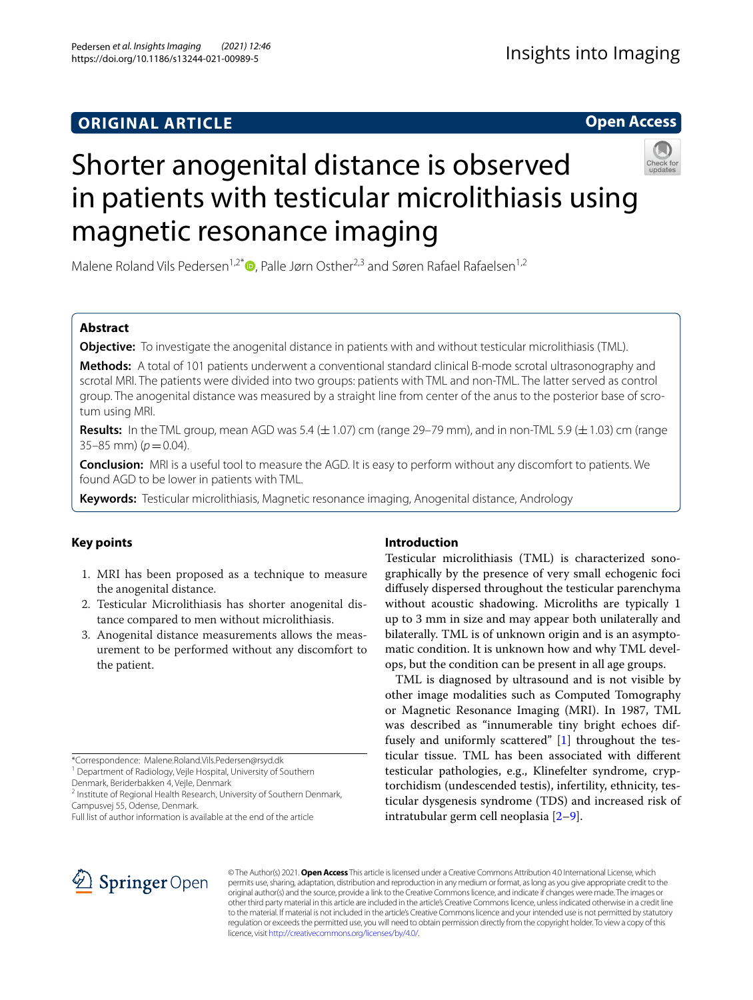## **ORIGINAL ARTICLE**

**Open Access**

# Shorter anogenital distance is observed in patients with testicular microlithiasis using magnetic resonance imaging

Malene Roland Vils Pedersen<sup>1,2\*</sup>  $\bullet$ [,](http://orcid.org/0000-0001-5167-7968) Palle Jørn Osther<sup>2,3</sup> and Søren Rafael Rafaelsen<sup>1,2</sup>

## **Abstract**

**Objective:** To investigate the anogenital distance in patients with and without testicular microlithiasis (TML).

**Methods:** A total of 101 patients underwent a conventional standard clinical B-mode scrotal ultrasonography and scrotal MRI. The patients were divided into two groups: patients with TML and non-TML. The latter served as control group. The anogenital distance was measured by a straight line from center of the anus to the posterior base of scrotum using MRI.

**Results:** In the TML group, mean AGD was 5.4  $(\pm 1.07)$  cm (range 29–79 mm), and in non-TML 5.9  $(\pm 1.03)$  cm (range  $35-85$  mm) ( $p=0.04$ ).

**Conclusion:** MRI is a useful tool to measure the AGD. It is easy to perform without any discomfort to patients. We found AGD to be lower in patients with TML.

**Keywords:** Testicular microlithiasis, Magnetic resonance imaging, Anogenital distance, Andrology

## **Key points**

- 1. MRI has been proposed as a technique to measure the anogenital distance.
- 2. Testicular Microlithiasis has shorter anogenital distance compared to men without microlithiasis.
- 3. Anogenital distance measurements allows the measurement to be performed without any discomfort to the patient.

\*Correspondence: Malene.Roland.Vils.Pedersen@rsyd.dk

<sup>1</sup> Department of Radiology, Vejle Hospital, University of Southern

Denmark, Beriderbakken 4, Vejle, Denmark

<sup>2</sup> Institute of Regional Health Research, University of Southern Denmark, Campusvej 55, Odense, Denmark.

## **Introduction**

Testicular microlithiasis (TML) is characterized sonographically by the presence of very small echogenic foci difusely dispersed throughout the testicular parenchyma without acoustic shadowing. Microliths are typically 1 up to 3 mm in size and may appear both unilaterally and bilaterally. TML is of unknown origin and is an asymptomatic condition. It is unknown how and why TML develops, but the condition can be present in all age groups.

TML is diagnosed by ultrasound and is not visible by other image modalities such as Computed Tomography or Magnetic Resonance Imaging (MRI). In 1987, TML was described as "innumerable tiny bright echoes diffusely and uniformly scattered" [[1\]](#page-4-0) throughout the testicular tissue. TML has been associated with diferent testicular pathologies, e.g., Klinefelter syndrome, cryptorchidism (undescended testis), infertility, ethnicity, testicular dysgenesis syndrome (TDS) and increased risk of intratubular germ cell neoplasia [[2–](#page-4-1)[9\]](#page-4-2).



© The Author(s) 2021. **Open Access** This article is licensed under a Creative Commons Attribution 4.0 International License, which permits use, sharing, adaptation, distribution and reproduction in any medium or format, as long as you give appropriate credit to the original author(s) and the source, provide a link to the Creative Commons licence, and indicate if changes were made. The images or other third party material in this article are included in the article's Creative Commons licence, unless indicated otherwise in a credit line to the material. If material is not included in the article's Creative Commons licence and your intended use is not permitted by statutory regulation or exceeds the permitted use, you will need to obtain permission directly from the copyright holder. To view a copy of this licence, visit [http://creativecommons.org/licenses/by/4.0/.](http://creativecommons.org/licenses/by/4.0/)

Full list of author information is available at the end of the article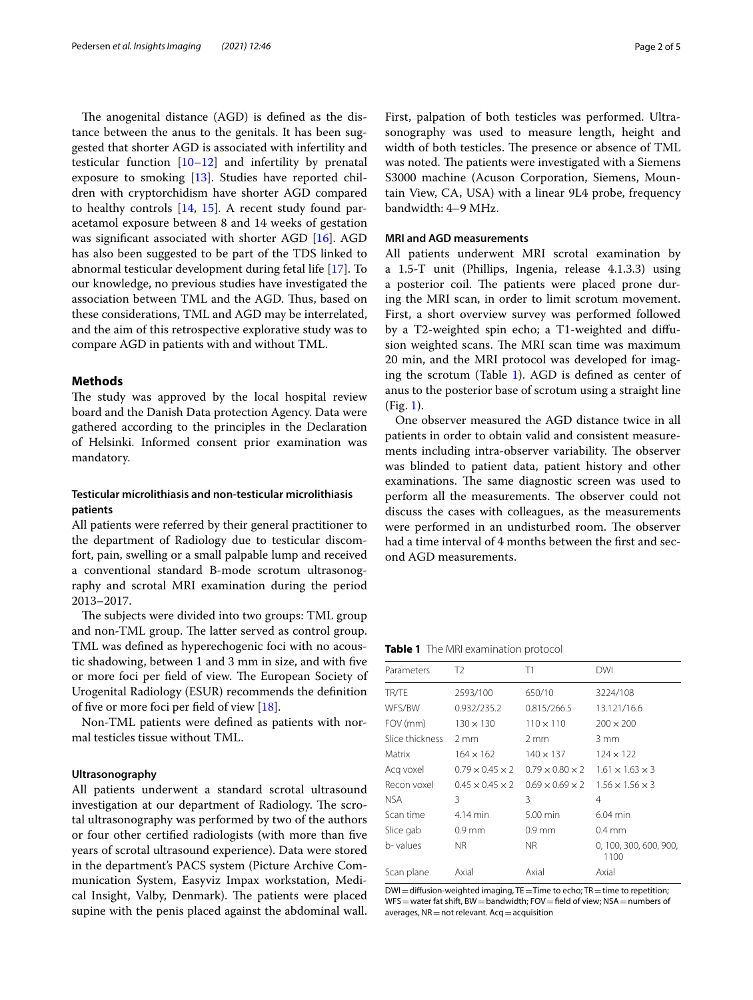The anogenital distance (AGD) is defined as the distance between the anus to the genitals. It has been suggested that shorter AGD is associated with infertility and testicular function [[10](#page-4-3)[–12](#page-4-4)] and infertility by prenatal exposure to smoking [\[13\]](#page-4-5). Studies have reported children with cryptorchidism have shorter AGD compared to healthy controls [[14](#page-4-6), [15](#page-4-7)]. A recent study found paracetamol exposure between 8 and 14 weeks of gestation was signifcant associated with shorter AGD [\[16](#page-4-8)]. AGD has also been suggested to be part of the TDS linked to abnormal testicular development during fetal life [\[17](#page-4-9)]. To our knowledge, no previous studies have investigated the association between TML and the AGD. Thus, based on these considerations, TML and AGD may be interrelated, and the aim of this retrospective explorative study was to compare AGD in patients with and without TML.

## **Methods**

The study was approved by the local hospital review board and the Danish Data protection Agency. Data were gathered according to the principles in the Declaration of Helsinki. Informed consent prior examination was mandatory.

## **Testicular microlithiasis and non‑testicular microlithiasis patients**

All patients were referred by their general practitioner to the department of Radiology due to testicular discomfort, pain, swelling or a small palpable lump and received a conventional standard B-mode scrotum ultrasonography and scrotal MRI examination during the period 2013–2017.

The subjects were divided into two groups: TML group and non-TML group. The latter served as control group. TML was defned as hyperechogenic foci with no acoustic shadowing, between 1 and 3 mm in size, and with fve or more foci per field of view. The European Society of Urogenital Radiology (ESUR) recommends the defnition of fve or more foci per feld of view [[18\]](#page-4-10).

Non-TML patients were defned as patients with normal testicles tissue without TML.

## **Ultrasonography**

All patients underwent a standard scrotal ultrasound investigation at our department of Radiology. The scrotal ultrasonography was performed by two of the authors or four other certifed radiologists (with more than fve years of scrotal ultrasound experience). Data were stored in the department's PACS system (Picture Archive Communication System, Easyviz Impax workstation, Medical Insight, Valby, Denmark). The patients were placed supine with the penis placed against the abdominal wall. First, palpation of both testicles was performed. Ultrasonography was used to measure length, height and width of both testicles. The presence or absence of TML was noted. The patients were investigated with a Siemens S3000 machine (Acuson Corporation, Siemens, Mountain View, CA, USA) with a linear 9L4 probe, frequency bandwidth: 4–9 MHz.

#### **MRI and AGD measurements**

All patients underwent MRI scrotal examination by a 1.5-T unit (Phillips, Ingenia, release 4.1.3.3) using a posterior coil. The patients were placed prone during the MRI scan, in order to limit scrotum movement. First, a short overview survey was performed followed by a T2-weighted spin echo; a T1-weighted and difusion weighted scans. The MRI scan time was maximum 20 min, and the MRI protocol was developed for imaging the scrotum (Table  $1$ ). AGD is defined as center of anus to the posterior base of scrotum using a straight line (Fig. [1\)](#page-2-0).

One observer measured the AGD distance twice in all patients in order to obtain valid and consistent measurements including intra-observer variability. The observer was blinded to patient data, patient history and other examinations. The same diagnostic screen was used to perform all the measurements. The observer could not discuss the cases with colleagues, as the measurements were performed in an undisturbed room. The observer had a time interval of 4 months between the first and second AGD measurements.

<span id="page-1-0"></span>**Table 1** The MRI examination protocol

| Parameters      | T2                          | T1                          | DWI                            |
|-----------------|-----------------------------|-----------------------------|--------------------------------|
| TR/TE           | 2593/100                    | 650/10                      | 3224/108                       |
| WFS/BW          | 0.932/235.2                 | 0.815/266.5                 | 13.121/16.6                    |
| FOV (mm)        | $130 \times 130$            | $110 \times 110$            | $200 \times 200$               |
| Slice thickness | $2 \text{ mm}$              | $2 \text{ mm}$              | $3 \text{ mm}$                 |
| Matrix          | $164 \times 162$            | $140 \times 137$            | $124 \times 122$               |
| Acq voxel       | $0.79 \times 0.45 \times 2$ | $0.79 \times 0.80 \times 2$ | $1.61 \times 1.63 \times 3$    |
| Recon voxel     | $0.45 \times 0.45 \times 2$ | $0.69 \times 0.69 \times 2$ | $1.56 \times 1.56 \times 3$    |
| NSA.            | 3                           | 3                           | 4                              |
| Scan time       | 4.14 min                    | $5.00$ min                  | $6.04$ min                     |
| Slice gab       | $0.9$ mm                    | $0.9$ mm                    | $0.4 \text{ mm}$               |
| b- values       | NR.                         | NR.                         | 0, 100, 300, 600, 900,<br>1100 |
| Scan plane      | Axial                       | Axial                       | Axial                          |

DWI=diffusion-weighted imaging, TE=Time to echo; TR=time to repetition; WFS = water fat shift, BW = bandwidth; FOV = field of view; NSA = numbers of averages,  $NR = not$  relevant.  $Acq = acquisition$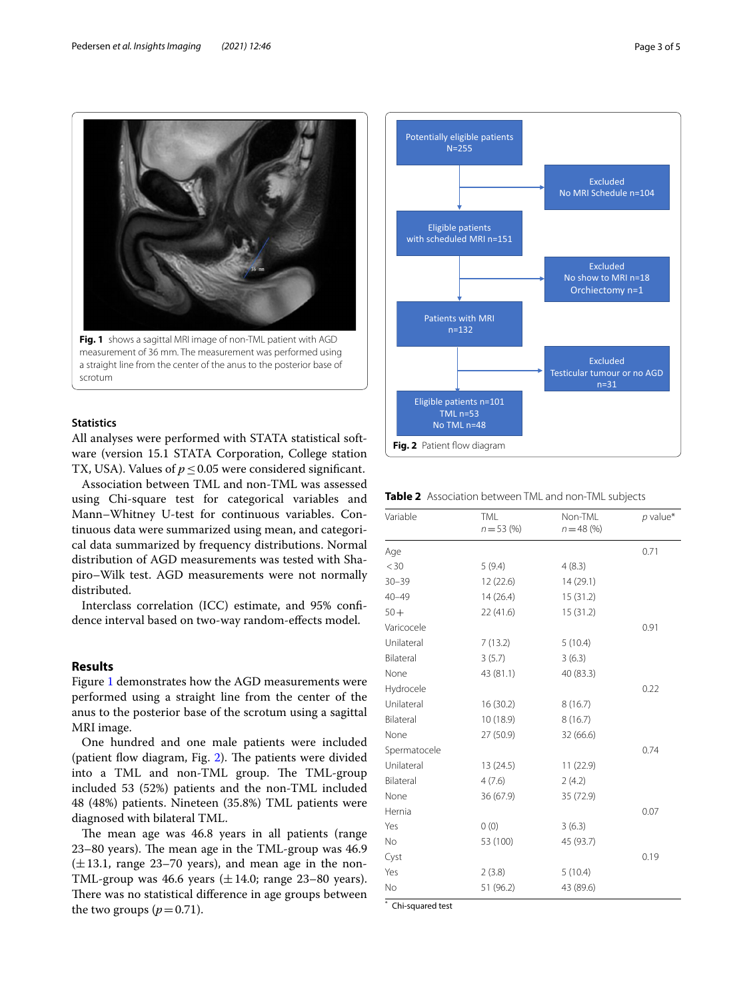

## <span id="page-2-0"></span>**Statistics**

All analyses were performed with STATA statistical software (version 15.1 STATA Corporation, College station TX, USA). Values of  $p \le 0.05$  were considered significant.

Association between TML and non-TML was assessed using Chi-square test for categorical variables and Mann–Whitney U-test for continuous variables. Continuous data were summarized using mean, and categorical data summarized by frequency distributions. Normal distribution of AGD measurements was tested with Shapiro–Wilk test. AGD measurements were not normally distributed.

Interclass correlation (ICC) estimate, and 95% confdence interval based on two-way random-efects model.

## **Results**

Figure [1](#page-2-0) demonstrates how the AGD measurements were performed using a straight line from the center of the anus to the posterior base of the scrotum using a sagittal MRI image.

One hundred and one male patients were included (patient flow diagram, Fig.  $2$ ). The patients were divided into a TML and non-TML group. The TML-group included 53 (52%) patients and the non-TML included 48 (48%) patients. Nineteen (35.8%) TML patients were diagnosed with bilateral TML.

The mean age was 46.8 years in all patients (range  $23-80$  years). The mean age in the TML-group was  $46.9$  $(\pm 13.1,$  range 23–70 years), and mean age in the non-TML-group was 46.6 years  $(\pm 14.0; \text{ range } 23-80 \text{ years})$ . There was no statistical difference in age groups between the two groups  $(p=0.71)$ .



<span id="page-2-2"></span><span id="page-2-1"></span>**Table 2** Association between TML and non-TML subjects

| Variable     | <b>TML</b><br>$n = 53(%)$ | Non-TML<br>$n = 48$ (%) | $p$ value* |
|--------------|---------------------------|-------------------------|------------|
| Age          |                           |                         | 0.71       |
| $<$ 30       | 5(9.4)                    | 4(8.3)                  |            |
| $30 - 39$    | 12 (22.6)                 | 14 (29.1)               |            |
| $40 - 49$    | 14(26.4)                  | 15(31.2)                |            |
| $50 +$       | 22 (41.6)                 | 15 (31.2)               |            |
| Varicocele   |                           |                         | 0.91       |
| Unilateral   | 7(13.2)                   | 5(10.4)                 |            |
| Bilateral    | 3(5.7)                    | 3(6.3)                  |            |
| None         | 43 (81.1)                 | 40 (83.3)               |            |
| Hydrocele    |                           |                         | 0.22       |
| Unilateral   | 16(30.2)                  | 8(16.7)                 |            |
| Bilateral    | 10 (18.9)                 | 8(16.7)                 |            |
| None         | 27 (50.9)                 | 32(66.6)                |            |
| Spermatocele |                           |                         | 0.74       |
| Unilateral   | 13 (24.5)                 | 11(22.9)                |            |
| Bilateral    | 4(7.6)                    | 2(4.2)                  |            |
| None         | 36 (67.9)                 | 35 (72.9)               |            |
| Hernia       |                           |                         | 0.07       |
| Yes          | 0(0)                      | 3(6.3)                  |            |
| No           | 53 (100)                  | 45 (93.7)               |            |
| Cyst         |                           |                         | 0.19       |
| Yes          | 2(3.8)                    | 5(10.4)                 |            |
| No           | 51 (96.2)                 | 43 (89.6)               |            |

Chi-squared test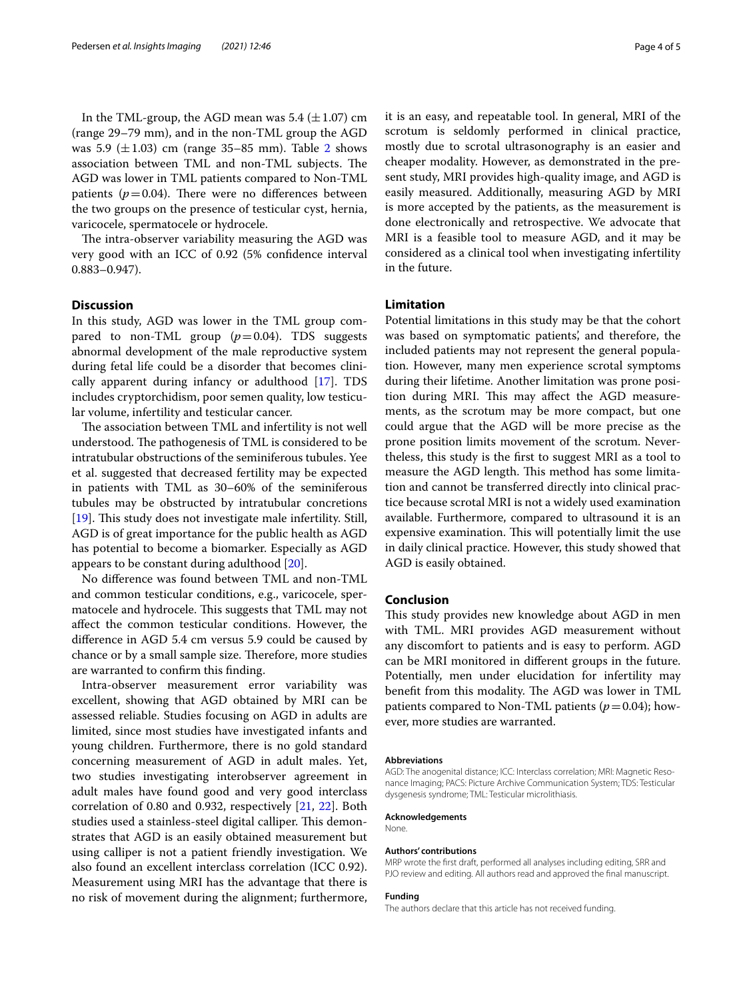In the TML-group, the AGD mean was  $5.4 \ (\pm 1.07) \ \text{cm}$ (range 29–79 mm), and in the non-TML group the AGD was 5.9  $(\pm 1.03)$  cm (range 35–85 mm). Table [2](#page-2-2) shows association between TML and non-TML subjects. The AGD was lower in TML patients compared to Non-TML patients ( $p=0.04$ ). There were no differences between the two groups on the presence of testicular cyst, hernia, varicocele, spermatocele or hydrocele.

The intra-observer variability measuring the AGD was very good with an ICC of 0.92 (5% confdence interval 0.883–0.947).

## **Discussion**

In this study, AGD was lower in the TML group compared to non-TML group  $(p=0.04)$ . TDS suggests abnormal development of the male reproductive system during fetal life could be a disorder that becomes clinically apparent during infancy or adulthood  $[17]$  $[17]$  $[17]$ . TDS includes cryptorchidism, poor semen quality, low testicular volume, infertility and testicular cancer.

The association between TML and infertility is not well understood. The pathogenesis of TML is considered to be intratubular obstructions of the seminiferous tubules. Yee et al. suggested that decreased fertility may be expected in patients with TML as 30–60% of the seminiferous tubules may be obstructed by intratubular concretions [[19\]](#page-4-11). This study does not investigate male infertility. Still, AGD is of great importance for the public health as AGD has potential to become a biomarker. Especially as AGD appears to be constant during adulthood [[20\]](#page-4-12).

No diference was found between TML and non-TML and common testicular conditions, e.g., varicocele, spermatocele and hydrocele. This suggests that TML may not afect the common testicular conditions. However, the diference in AGD 5.4 cm versus 5.9 could be caused by chance or by a small sample size. Therefore, more studies are warranted to confrm this fnding.

Intra-observer measurement error variability was excellent, showing that AGD obtained by MRI can be assessed reliable. Studies focusing on AGD in adults are limited, since most studies have investigated infants and young children. Furthermore, there is no gold standard concerning measurement of AGD in adult males. Yet, two studies investigating interobserver agreement in adult males have found good and very good interclass correlation of 0.80 and 0.932, respectively [[21,](#page-4-13) [22](#page-4-14)]. Both studies used a stainless-steel digital calliper. This demonstrates that AGD is an easily obtained measurement but using calliper is not a patient friendly investigation. We also found an excellent interclass correlation (ICC 0.92). Measurement using MRI has the advantage that there is no risk of movement during the alignment; furthermore, it is an easy, and repeatable tool. In general, MRI of the scrotum is seldomly performed in clinical practice, mostly due to scrotal ultrasonography is an easier and cheaper modality. However, as demonstrated in the present study, MRI provides high-quality image, and AGD is easily measured. Additionally, measuring AGD by MRI is more accepted by the patients, as the measurement is done electronically and retrospective. We advocate that MRI is a feasible tool to measure AGD, and it may be considered as a clinical tool when investigating infertility in the future.

## **Limitation**

Potential limitations in this study may be that the cohort was based on symptomatic patients', and therefore, the included patients may not represent the general population. However, many men experience scrotal symptoms during their lifetime. Another limitation was prone position during MRI. This may affect the AGD measurements, as the scrotum may be more compact, but one could argue that the AGD will be more precise as the prone position limits movement of the scrotum. Nevertheless, this study is the frst to suggest MRI as a tool to measure the AGD length. This method has some limitation and cannot be transferred directly into clinical practice because scrotal MRI is not a widely used examination available. Furthermore, compared to ultrasound it is an expensive examination. This will potentially limit the use in daily clinical practice. However, this study showed that AGD is easily obtained.

#### **Conclusion**

This study provides new knowledge about AGD in men with TML. MRI provides AGD measurement without any discomfort to patients and is easy to perform. AGD can be MRI monitored in diferent groups in the future. Potentially, men under elucidation for infertility may benefit from this modality. The AGD was lower in TML patients compared to Non-TML patients  $(p=0.04)$ ; however, more studies are warranted.

#### **Abbreviations**

AGD: The anogenital distance; ICC: Interclass correlation; MRI: Magnetic Resonance Imaging; PACS: Picture Archive Communication System; TDS: Testicular dysgenesis syndrome; TML: Testicular microlithiasis.

#### **Acknowledgements**

None.

#### **Authors' contributions**

MRP wrote the frst draft, performed all analyses including editing, SRR and PJO review and editing. All authors read and approved the final manuscript.

#### **Funding**

The authors declare that this article has not received funding.